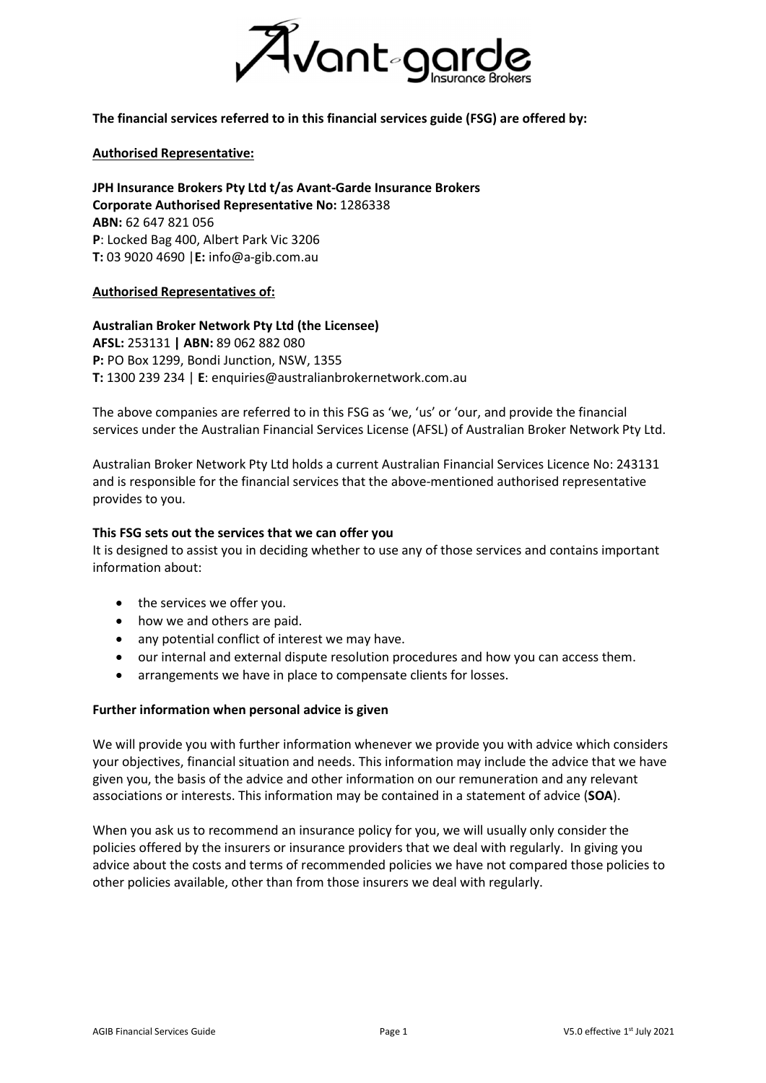

The financial services referred to in this financial services guide (FSG) are offered by:

### Authorised Representative:

JPH Insurance Brokers Pty Ltd t/as Avant-Garde Insurance Brokers Corporate Authorised Representative No: 1286338 ABN: 62 647 821 056 P: Locked Bag 400, Albert Park Vic 3206 T: 03 9020 4690 |E: info@a-gib.com.au

### Authorised Representatives of:

# Australian Broker Network Pty Ltd (the Licensee)

AFSL: 253131 | ABN: 89 062 882 080 P: PO Box 1299, Bondi Junction, NSW, 1355 T: 1300 239 234 | E: enquiries@australianbrokernetwork.com.au

The above companies are referred to in this FSG as 'we, 'us' or 'our, and provide the financial services under the Australian Financial Services License (AFSL) of Australian Broker Network Pty Ltd.

Australian Broker Network Pty Ltd holds a current Australian Financial Services Licence No: 243131 and is responsible for the financial services that the above-mentioned authorised representative provides to you.

### This FSG sets out the services that we can offer you

It is designed to assist you in deciding whether to use any of those services and contains important information about:

- the services we offer you.
- how we and others are paid.
- any potential conflict of interest we may have.
- our internal and external dispute resolution procedures and how you can access them.
- arrangements we have in place to compensate clients for losses.

#### Further information when personal advice is given

We will provide you with further information whenever we provide you with advice which considers your objectives, financial situation and needs. This information may include the advice that we have given you, the basis of the advice and other information on our remuneration and any relevant associations or interests. This information may be contained in a statement of advice (SOA).

When you ask us to recommend an insurance policy for you, we will usually only consider the policies offered by the insurers or insurance providers that we deal with regularly. In giving you advice about the costs and terms of recommended policies we have not compared those policies to other policies available, other than from those insurers we deal with regularly.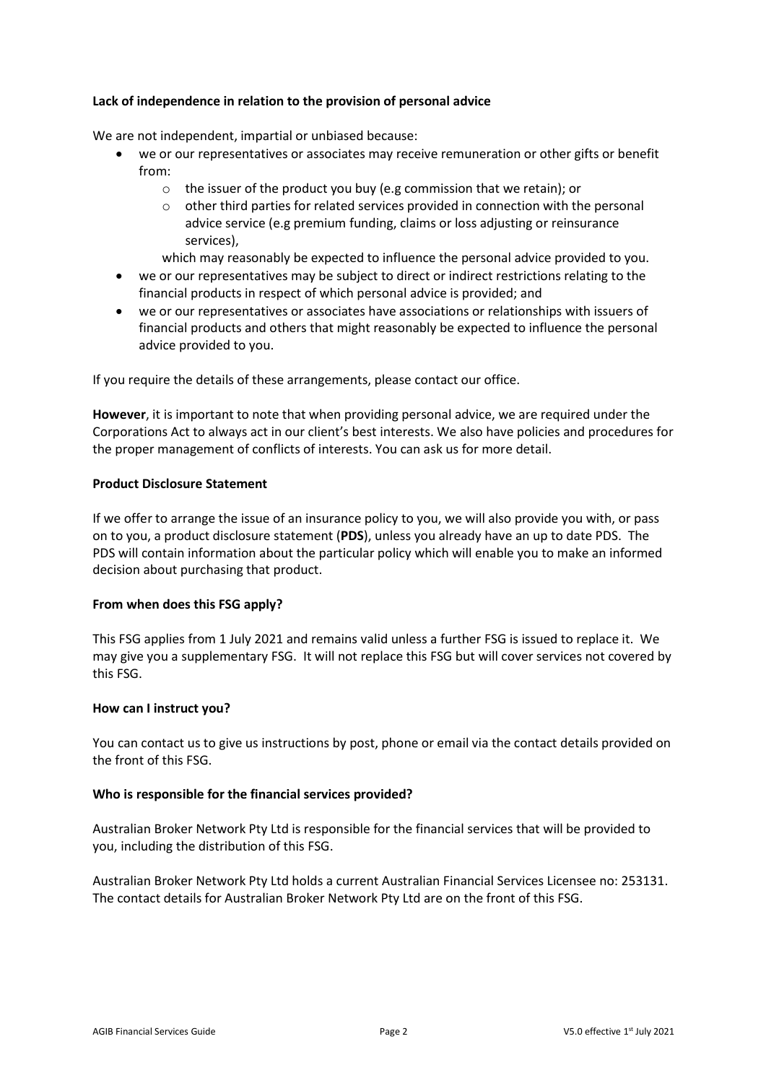# Lack of independence in relation to the provision of personal advice

We are not independent, impartial or unbiased because:

- we or our representatives or associates may receive remuneration or other gifts or benefit from:
	- o the issuer of the product you buy (e.g commission that we retain); or
	- $\circ$  other third parties for related services provided in connection with the personal advice service (e.g premium funding, claims or loss adjusting or reinsurance services),

which may reasonably be expected to influence the personal advice provided to you.

- we or our representatives may be subject to direct or indirect restrictions relating to the financial products in respect of which personal advice is provided; and
- we or our representatives or associates have associations or relationships with issuers of financial products and others that might reasonably be expected to influence the personal advice provided to you.

If you require the details of these arrangements, please contact our office.

However, it is important to note that when providing personal advice, we are required under the Corporations Act to always act in our client's best interests. We also have policies and procedures for the proper management of conflicts of interests. You can ask us for more detail.

# Product Disclosure Statement

If we offer to arrange the issue of an insurance policy to you, we will also provide you with, or pass on to you, a product disclosure statement (PDS), unless you already have an up to date PDS. The PDS will contain information about the particular policy which will enable you to make an informed decision about purchasing that product.

# From when does this FSG apply?

This FSG applies from 1 July 2021 and remains valid unless a further FSG is issued to replace it. We may give you a supplementary FSG. It will not replace this FSG but will cover services not covered by this FSG.

# How can I instruct you?

You can contact us to give us instructions by post, phone or email via the contact details provided on the front of this FSG.

# Who is responsible for the financial services provided?

Australian Broker Network Pty Ltd is responsible for the financial services that will be provided to you, including the distribution of this FSG.

Australian Broker Network Pty Ltd holds a current Australian Financial Services Licensee no: 253131. The contact details for Australian Broker Network Pty Ltd are on the front of this FSG.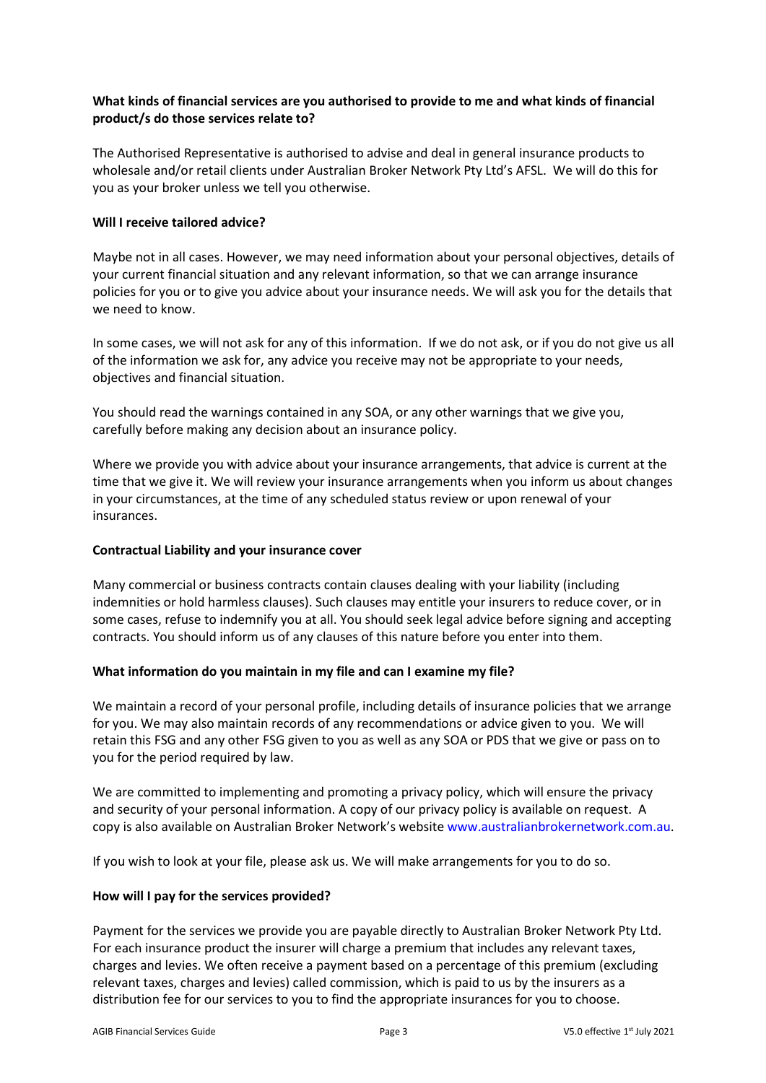# What kinds of financial services are you authorised to provide to me and what kinds of financial product/s do those services relate to?

The Authorised Representative is authorised to advise and deal in general insurance products to wholesale and/or retail clients under Australian Broker Network Pty Ltd's AFSL. We will do this for you as your broker unless we tell you otherwise.

# Will I receive tailored advice?

Maybe not in all cases. However, we may need information about your personal objectives, details of your current financial situation and any relevant information, so that we can arrange insurance policies for you or to give you advice about your insurance needs. We will ask you for the details that we need to know.

In some cases, we will not ask for any of this information. If we do not ask, or if you do not give us all of the information we ask for, any advice you receive may not be appropriate to your needs, objectives and financial situation.

You should read the warnings contained in any SOA, or any other warnings that we give you, carefully before making any decision about an insurance policy.

Where we provide you with advice about your insurance arrangements, that advice is current at the time that we give it. We will review your insurance arrangements when you inform us about changes in your circumstances, at the time of any scheduled status review or upon renewal of your insurances.

# Contractual Liability and your insurance cover

Many commercial or business contracts contain clauses dealing with your liability (including indemnities or hold harmless clauses). Such clauses may entitle your insurers to reduce cover, or in some cases, refuse to indemnify you at all. You should seek legal advice before signing and accepting contracts. You should inform us of any clauses of this nature before you enter into them.

# What information do you maintain in my file and can I examine my file?

We maintain a record of your personal profile, including details of insurance policies that we arrange for you. We may also maintain records of any recommendations or advice given to you. We will retain this FSG and any other FSG given to you as well as any SOA or PDS that we give or pass on to you for the period required by law.

We are committed to implementing and promoting a privacy policy, which will ensure the privacy and security of your personal information. A copy of our privacy policy is available on request. A copy is also available on Australian Broker Network's website www.australianbrokernetwork.com.au.

If you wish to look at your file, please ask us. We will make arrangements for you to do so.

# How will I pay for the services provided?

Payment for the services we provide you are payable directly to Australian Broker Network Pty Ltd. For each insurance product the insurer will charge a premium that includes any relevant taxes, charges and levies. We often receive a payment based on a percentage of this premium (excluding relevant taxes, charges and levies) called commission, which is paid to us by the insurers as a distribution fee for our services to you to find the appropriate insurances for you to choose.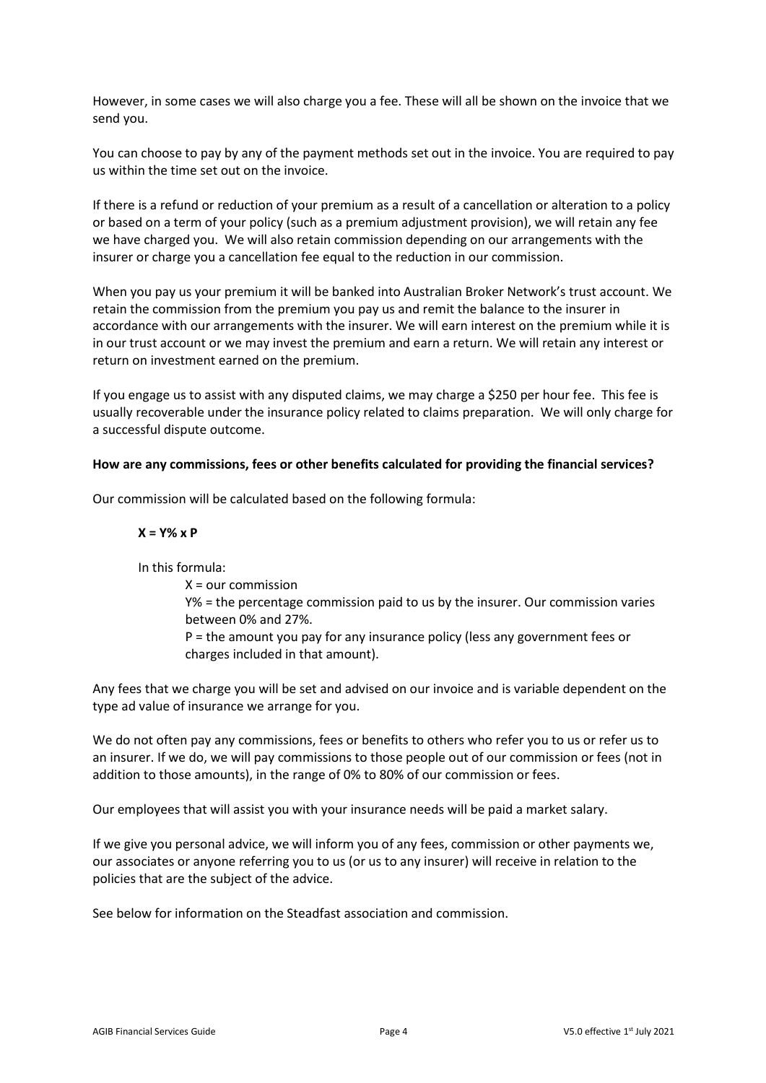However, in some cases we will also charge you a fee. These will all be shown on the invoice that we send you.

You can choose to pay by any of the payment methods set out in the invoice. You are required to pay us within the time set out on the invoice.

If there is a refund or reduction of your premium as a result of a cancellation or alteration to a policy or based on a term of your policy (such as a premium adjustment provision), we will retain any fee we have charged you. We will also retain commission depending on our arrangements with the insurer or charge you a cancellation fee equal to the reduction in our commission.

When you pay us your premium it will be banked into Australian Broker Network's trust account. We retain the commission from the premium you pay us and remit the balance to the insurer in accordance with our arrangements with the insurer. We will earn interest on the premium while it is in our trust account or we may invest the premium and earn a return. We will retain any interest or return on investment earned on the premium.

If you engage us to assist with any disputed claims, we may charge a \$250 per hour fee. This fee is usually recoverable under the insurance policy related to claims preparation. We will only charge for a successful dispute outcome.

### How are any commissions, fees or other benefits calculated for providing the financial services?

Our commission will be calculated based on the following formula:

### $X = Y\% \times P$

In this formula:

 $X =$  our commission Y% = the percentage commission paid to us by the insurer. Our commission varies between 0% and 27%. P = the amount you pay for any insurance policy (less any government fees or charges included in that amount).

Any fees that we charge you will be set and advised on our invoice and is variable dependent on the type ad value of insurance we arrange for you.

We do not often pay any commissions, fees or benefits to others who refer you to us or refer us to an insurer. If we do, we will pay commissions to those people out of our commission or fees (not in addition to those amounts), in the range of 0% to 80% of our commission or fees.

Our employees that will assist you with your insurance needs will be paid a market salary.

If we give you personal advice, we will inform you of any fees, commission or other payments we, our associates or anyone referring you to us (or us to any insurer) will receive in relation to the policies that are the subject of the advice.

See below for information on the Steadfast association and commission.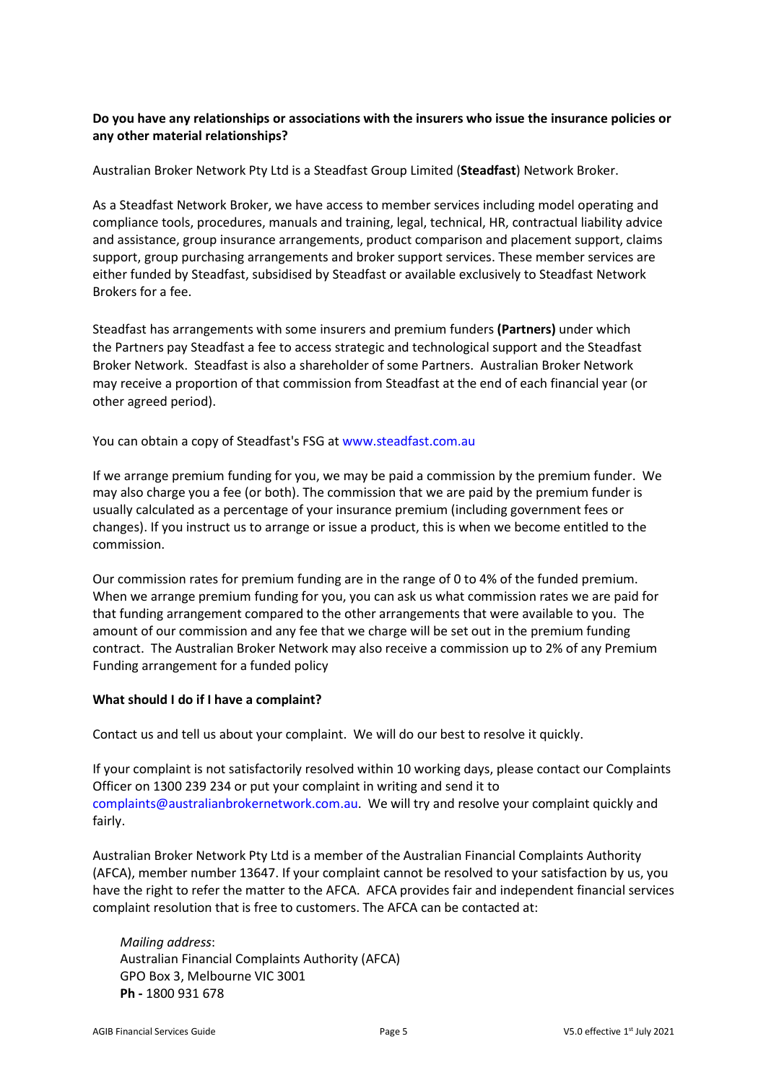# Do you have any relationships or associations with the insurers who issue the insurance policies or any other material relationships?

Australian Broker Network Pty Ltd is a Steadfast Group Limited (Steadfast) Network Broker.

As a Steadfast Network Broker, we have access to member services including model operating and compliance tools, procedures, manuals and training, legal, technical, HR, contractual liability advice and assistance, group insurance arrangements, product comparison and placement support, claims support, group purchasing arrangements and broker support services. These member services are either funded by Steadfast, subsidised by Steadfast or available exclusively to Steadfast Network Brokers for a fee.

Steadfast has arrangements with some insurers and premium funders (Partners) under which the Partners pay Steadfast a fee to access strategic and technological support and the Steadfast Broker Network. Steadfast is also a shareholder of some Partners. Australian Broker Network may receive a proportion of that commission from Steadfast at the end of each financial year (or other agreed period).

You can obtain a copy of Steadfast's FSG at www.steadfast.com.au

If we arrange premium funding for you, we may be paid a commission by the premium funder. We may also charge you a fee (or both). The commission that we are paid by the premium funder is usually calculated as a percentage of your insurance premium (including government fees or changes). If you instruct us to arrange or issue a product, this is when we become entitled to the commission.

Our commission rates for premium funding are in the range of 0 to 4% of the funded premium. When we arrange premium funding for you, you can ask us what commission rates we are paid for that funding arrangement compared to the other arrangements that were available to you. The amount of our commission and any fee that we charge will be set out in the premium funding contract. The Australian Broker Network may also receive a commission up to 2% of any Premium Funding arrangement for a funded policy

# What should I do if I have a complaint?

Contact us and tell us about your complaint. We will do our best to resolve it quickly.

If your complaint is not satisfactorily resolved within 10 working days, please contact our Complaints Officer on 1300 239 234 or put your complaint in writing and send it to complaints@australianbrokernetwork.com.au. We will try and resolve your complaint quickly and fairly.

Australian Broker Network Pty Ltd is a member of the Australian Financial Complaints Authority (AFCA), member number 13647. If your complaint cannot be resolved to your satisfaction by us, you have the right to refer the matter to the AFCA. AFCA provides fair and independent financial services complaint resolution that is free to customers. The AFCA can be contacted at:

Mailing address: Australian Financial Complaints Authority (AFCA) GPO Box 3, Melbourne VIC 3001 Ph - 1800 931 678